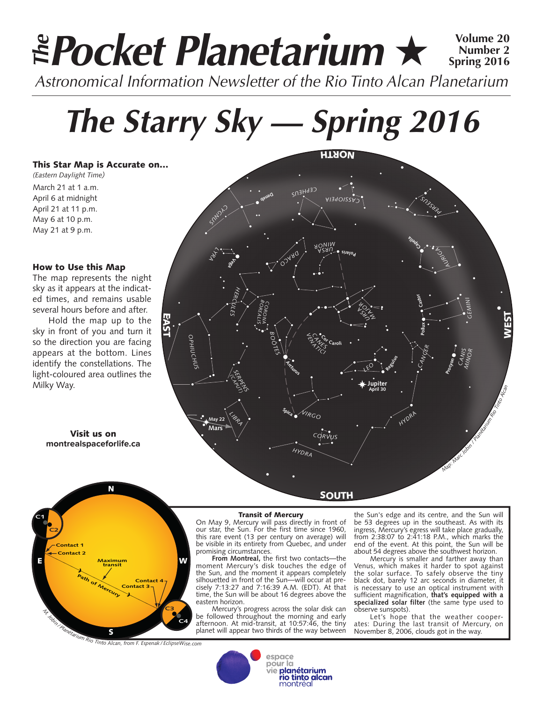### *Pocket Planetarium* ★ **Volume 20** *Astronomical Information Newsletter of the Rio Tinto Alcan Planetarium The* **Number 2 Spring 2016**

# *The Starry Sky — Spring 2016*

#### This Star Map is Accurate on…

*(Eastern Daylight Time)* March 21 at 1 a.m. April 6 at midnight April 21 at 11 p.m. May 6 at 10 p.m. May 21 at 9 p.m.

#### How to Use this Map

The map represents the night sky as it appears at the indicated times, and remains usable several hours before and after.

Hold the map up to the sky in front of you and turn it so the direction you are facing appears at the bottom. Lines identify the constellations. The light-coloured area outlines the Milky Way.

> Visit us on **montrealspaceforlife.ca**





#### Transit of Mercury

On May 9, Mercury will pass directly in front of our star, the Sun. For the first time since 1960, this rare event (13 per century on average) will be visible in its entirety from Quebec, and under promising circumstances.

**From Montreal,** the first two contacts—the moment Mercury's disk touches the edge of the Sun, and the moment it appears completely silhouetted in front of the Sun—will occur at precisely 7:13:27 and 7:16:39 A.M. (EDT). At that time, the Sun will be about 16 degrees above the eastern horizon.

Mercury's progress across the solar disk can be followed throughout the morning and early afternoon. At mid-transit, at 10:57:46, the tiny planet will appear two thirds of the way between the Sun's edge and its centre, and the Sun will be 53 degrees up in the southeast. As with its ingress, Mercury's egress will take place gradually, from 2:38:07 to 2:41:18 P.M., which marks the end of the event. At this point, the Sun will be about 54 degrees above the southwest horizon.

Mercury is smaller and farther away than Venus, which makes it harder to spot against the solar surface. To safely observe the tiny black dot, barely 12 arc seconds in diameter, it is necessary to use an optical instrument with sufficient magnification, **that's equipped with a specialized solar filter** (the same type used to observe sunspots).

Let's hope that the weather cooperates: During the last transit of Mercury, on November 8, 2006, clouds got in the way.



espace pour la vie **planétarium** rio tinto alcan montréal